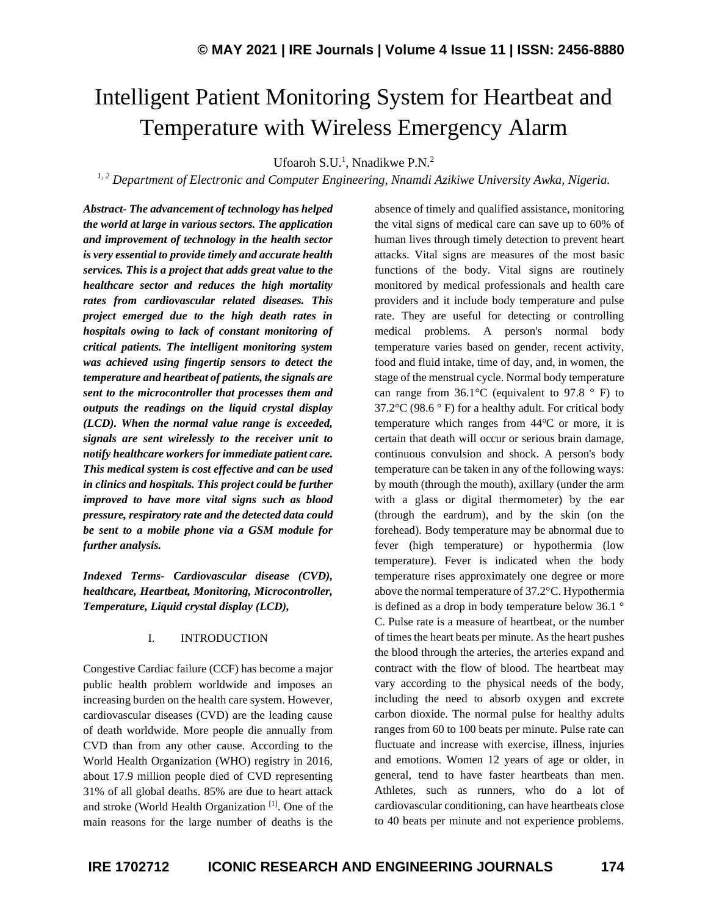# Intelligent Patient Monitoring System for Heartbeat and Temperature with Wireless Emergency Alarm

Ufoaroh S.U.<sup>1</sup>, Nnadikwe P.N.<sup>2</sup>

*1, <sup>2</sup> Department of Electronic and Computer Engineering, Nnamdi Azikiwe University Awka, Nigeria.*

*Abstract- The advancement of technology has helped the world at large in various sectors. The application and improvement of technology in the health sector is very essential to provide timely and accurate health services. This is a project that adds great value to the healthcare sector and reduces the high mortality rates from cardiovascular related diseases. This project emerged due to the high death rates in hospitals owing to lack of constant monitoring of critical patients. The intelligent monitoring system was achieved using fingertip sensors to detect the temperature and heartbeat of patients, the signals are sent to the microcontroller that processes them and outputs the readings on the liquid crystal display (LCD). When the normal value range is exceeded, signals are sent wirelessly to the receiver unit to notify healthcare workers for immediate patient care. This medical system is cost effective and can be used in clinics and hospitals. This project could be further improved to have more vital signs such as blood pressure, respiratory rate and the detected data could be sent to a mobile phone via a GSM module for further analysis.*

*Indexed Terms- Cardiovascular disease (CVD), healthcare, Heartbeat, Monitoring, Microcontroller, Temperature, Liquid crystal display (LCD),*

# I. INTRODUCTION

Congestive Cardiac failure (CCF) has become a major public health problem worldwide and imposes an increasing burden on the health care system. However, cardiovascular diseases (CVD) are the leading cause of death worldwide. More people die annually from CVD than from any other cause. According to the World Health Organization (WHO) registry in 2016, about 17.9 million people died of CVD representing 31% of all global deaths. 85% are due to heart attack and stroke (World Health Organization [1]. One of the main reasons for the large number of deaths is the absence of timely and qualified assistance, monitoring the vital signs of medical care can save up to 60% of human lives through timely detection to prevent heart attacks. Vital signs are measures of the most basic functions of the body. Vital signs are routinely monitored by medical professionals and health care providers and it include body temperature and pulse rate. They are useful for detecting or controlling medical problems. A person's normal body temperature varies based on gender, recent activity, food and fluid intake, time of day, and, in women, the stage of the menstrual cycle. Normal body temperature can range from  $36.1^{\circ}$ C (equivalent to 97.8  $^{\circ}$  F) to 37.2 $\degree$ C (98.6  $\degree$  F) for a healthy adult. For critical body temperature which ranges from  $44^{\circ}$ C or more, it is certain that death will occur or serious brain damage, continuous convulsion and shock. A person's body temperature can be taken in any of the following ways: by mouth (through the mouth), axillary (under the arm with a glass or digital thermometer) by the ear (through the eardrum), and by the skin (on the forehead). Body temperature may be abnormal due to fever (high temperature) or hypothermia (low temperature). Fever is indicated when the body temperature rises approximately one degree or more above the normal temperature of 37.2°C. Hypothermia is defined as a drop in body temperature below 36.1 ° C. Pulse rate is a measure of heartbeat, or the number of times the heart beats per minute. As the heart pushes the blood through the arteries, the arteries expand and contract with the flow of blood. The heartbeat may vary according to the physical needs of the body, including the need to absorb oxygen and excrete carbon dioxide. The normal pulse for healthy adults ranges from 60 to 100 beats per minute. Pulse rate can fluctuate and increase with exercise, illness, injuries and emotions. Women 12 years of age or older, in general, tend to have faster heartbeats than men. Athletes, such as runners, who do a lot of cardiovascular conditioning, can have heartbeats close to 40 beats per minute and not experience problems.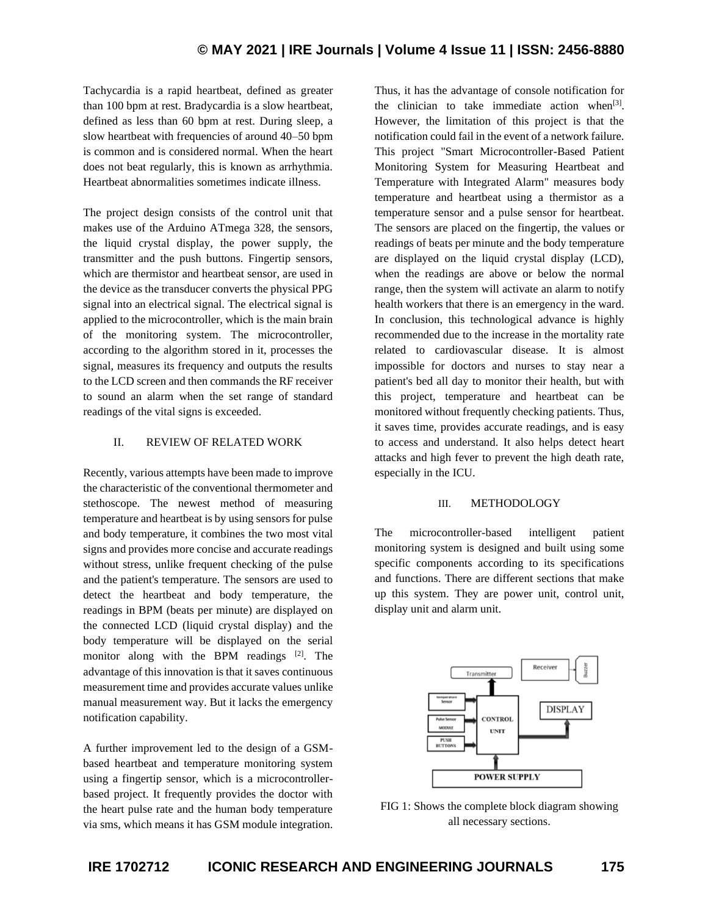Tachycardia is a rapid heartbeat, defined as greater than 100 bpm at rest. Bradycardia is a slow heartbeat, defined as less than 60 bpm at rest. During sleep, a slow heartbeat with frequencies of around 40–50 bpm is common and is considered normal. When the heart does not beat regularly, this is known as arrhythmia. Heartbeat abnormalities sometimes indicate illness.

The project design consists of the control unit that makes use of the Arduino ATmega 328, the sensors, the liquid crystal display, the power supply, the transmitter and the push buttons. Fingertip sensors, which are thermistor and heartbeat sensor, are used in the device as the transducer converts the physical PPG signal into an electrical signal. The electrical signal is applied to the microcontroller, which is the main brain of the monitoring system. The microcontroller, according to the algorithm stored in it, processes the signal, measures its frequency and outputs the results to the LCD screen and then commands the RF receiver to sound an alarm when the set range of standard readings of the vital signs is exceeded.

# II. REVIEW OF RELATED WORK

Recently, various attempts have been made to improve the characteristic of the conventional thermometer and stethoscope. The newest method of measuring temperature and heartbeat is by using sensors for pulse and body temperature, it combines the two most vital signs and provides more concise and accurate readings without stress, unlike frequent checking of the pulse and the patient's temperature. The sensors are used to detect the heartbeat and body temperature, the readings in BPM (beats per minute) are displayed on the connected LCD (liquid crystal display) and the body temperature will be displayed on the serial monitor along with the BPM readings [2]. The advantage of this innovation is that it saves continuous measurement time and provides accurate values unlike manual measurement way. But it lacks the emergency notification capability.

A further improvement led to the design of a GSMbased heartbeat and temperature monitoring system using a fingertip sensor, which is a microcontrollerbased project. It frequently provides the doctor with the heart pulse rate and the human body temperature via sms, which means it has GSM module integration. Thus, it has the advantage of console notification for the clinician to take immediate action when $[3]$ . However, the limitation of this project is that the notification could fail in the event of a network failure. This project "Smart Microcontroller-Based Patient Monitoring System for Measuring Heartbeat and Temperature with Integrated Alarm" measures body temperature and heartbeat using a thermistor as a temperature sensor and a pulse sensor for heartbeat. The sensors are placed on the fingertip, the values or readings of beats per minute and the body temperature are displayed on the liquid crystal display (LCD), when the readings are above or below the normal range, then the system will activate an alarm to notify health workers that there is an emergency in the ward. In conclusion, this technological advance is highly recommended due to the increase in the mortality rate related to cardiovascular disease. It is almost impossible for doctors and nurses to stay near a patient's bed all day to monitor their health, but with this project, temperature and heartbeat can be monitored without frequently checking patients. Thus, it saves time, provides accurate readings, and is easy to access and understand. It also helps detect heart attacks and high fever to prevent the high death rate, especially in the ICU.

#### III. METHODOLOGY

The microcontroller-based intelligent patient monitoring system is designed and built using some specific components according to its specifications and functions. There are different sections that make up this system. They are power unit, control unit, display unit and alarm unit.



FIG 1: Shows the complete block diagram showing all necessary sections.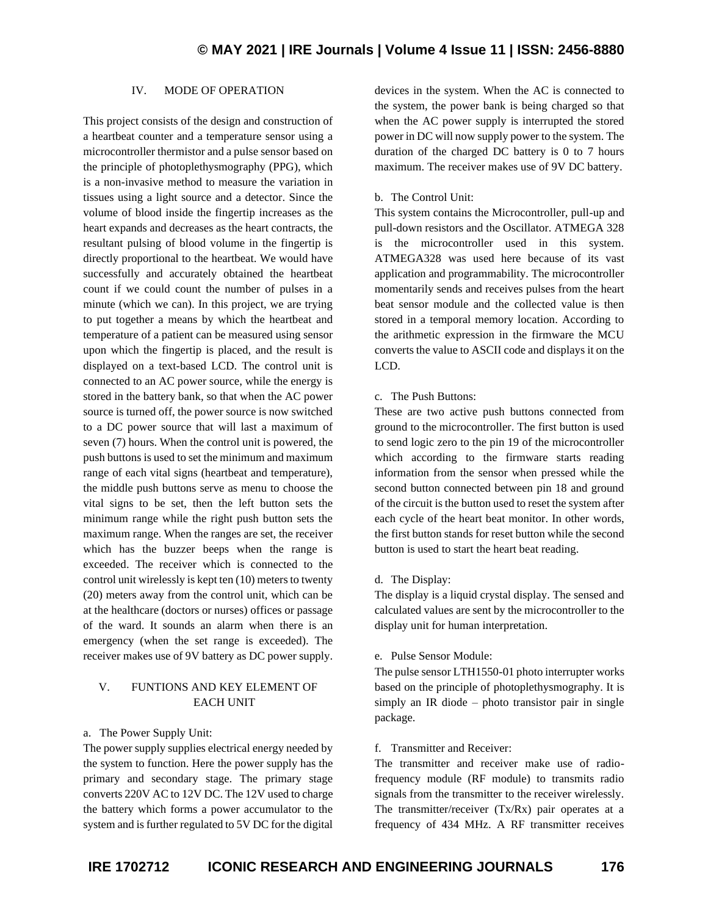# IV. MODE OF OPERATION

This project consists of the design and construction of a heartbeat counter and a temperature sensor using a microcontroller thermistor and a pulse sensor based on the principle of photoplethysmography (PPG), which is a non-invasive method to measure the variation in tissues using a light source and a detector. Since the volume of blood inside the fingertip increases as the heart expands and decreases as the heart contracts, the resultant pulsing of blood volume in the fingertip is directly proportional to the heartbeat. We would have successfully and accurately obtained the heartbeat count if we could count the number of pulses in a minute (which we can). In this project, we are trying to put together a means by which the heartbeat and temperature of a patient can be measured using sensor upon which the fingertip is placed, and the result is displayed on a text-based LCD. The control unit is connected to an AC power source, while the energy is stored in the battery bank, so that when the AC power source is turned off, the power source is now switched to a DC power source that will last a maximum of seven (7) hours. When the control unit is powered, the push buttons is used to set the minimum and maximum range of each vital signs (heartbeat and temperature), the middle push buttons serve as menu to choose the vital signs to be set, then the left button sets the minimum range while the right push button sets the maximum range. When the ranges are set, the receiver which has the buzzer beeps when the range is exceeded. The receiver which is connected to the control unit wirelessly is kept ten (10) meters to twenty (20) meters away from the control unit, which can be at the healthcare (doctors or nurses) offices or passage of the ward. It sounds an alarm when there is an emergency (when the set range is exceeded). The receiver makes use of 9V battery as DC power supply.

# V. FUNTIONS AND KEY ELEMENT OF EACH UNIT

#### a. The Power Supply Unit:

The power supply supplies electrical energy needed by the system to function. Here the power supply has the primary and secondary stage. The primary stage converts 220V AC to 12V DC. The 12V used to charge the battery which forms a power accumulator to the system and is further regulated to 5V DC for the digital devices in the system. When the AC is connected to the system, the power bank is being charged so that when the AC power supply is interrupted the stored power in DC will now supply power to the system. The duration of the charged DC battery is 0 to 7 hours maximum. The receiver makes use of 9V DC battery.

#### b. The Control Unit:

This system contains the Microcontroller, pull-up and pull-down resistors and the Oscillator. ATMEGA 328 is the microcontroller used in this system. ATMEGA328 was used here because of its vast application and programmability. The microcontroller momentarily sends and receives pulses from the heart beat sensor module and the collected value is then stored in a temporal memory location. According to the arithmetic expression in the firmware the MCU converts the value to ASCII code and displays it on the LCD.

#### c. The Push Buttons:

These are two active push buttons connected from ground to the microcontroller. The first button is used to send logic zero to the pin 19 of the microcontroller which according to the firmware starts reading information from the sensor when pressed while the second button connected between pin 18 and ground of the circuit is the button used to reset the system after each cycle of the heart beat monitor. In other words, the first button stands for reset button while the second button is used to start the heart beat reading.

#### d. The Display:

The display is a liquid crystal display. The sensed and calculated values are sent by the microcontroller to the display unit for human interpretation.

#### e. Pulse Sensor Module:

The pulse sensor LTH1550-01 photo interrupter works based on the principle of photoplethysmography. It is simply an IR diode – photo transistor pair in single package.

#### f. Transmitter and Receiver:

The transmitter and receiver make use of radiofrequency module (RF module) to transmits radio signals from the transmitter to the receiver wirelessly. The transmitter/receiver (Tx/Rx) pair operates at a frequency of 434 MHz. A RF transmitter receives